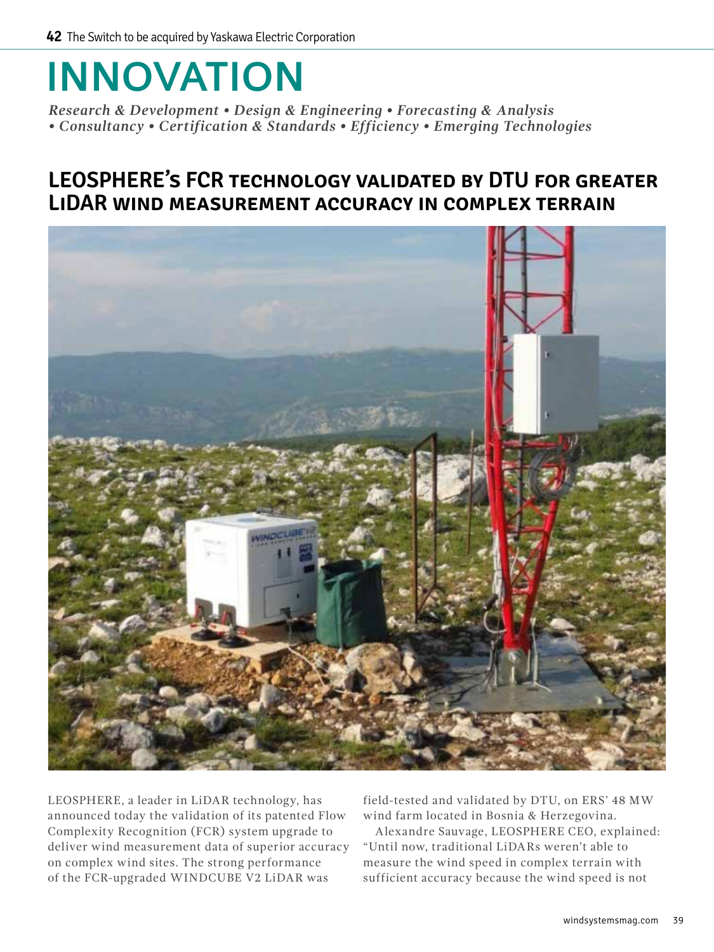## **INNOVATION**

*Research & Development • Design & Engineering • Forecasting & Analysis • Consultancy • Certification & Standards • Efficiency • Emerging Technologies*

## **LEOSPHERE's FCR technology validated by DTU for greater LiDAR wind measurement accuracy in complex terrain**



LEOSPHERE, a leader in LiDAR technology, has announced today the validation of its patented Flow Complexity Recognition (FCR) system upgrade to deliver wind measurement data of superior accuracy on complex wind sites. The strong performance of the FCR-upgraded WINDCUBE V2 LiDAR was

field-tested and validated by DTU, on ERS' 48 MW wind farm located in Bosnia & Herzegovina.

Alexandre Sauvage, LEOSPHERE CEO, explained: "Until now, traditional LiDARs weren't able to measure the wind speed in complex terrain with sufficient accuracy because the wind speed is not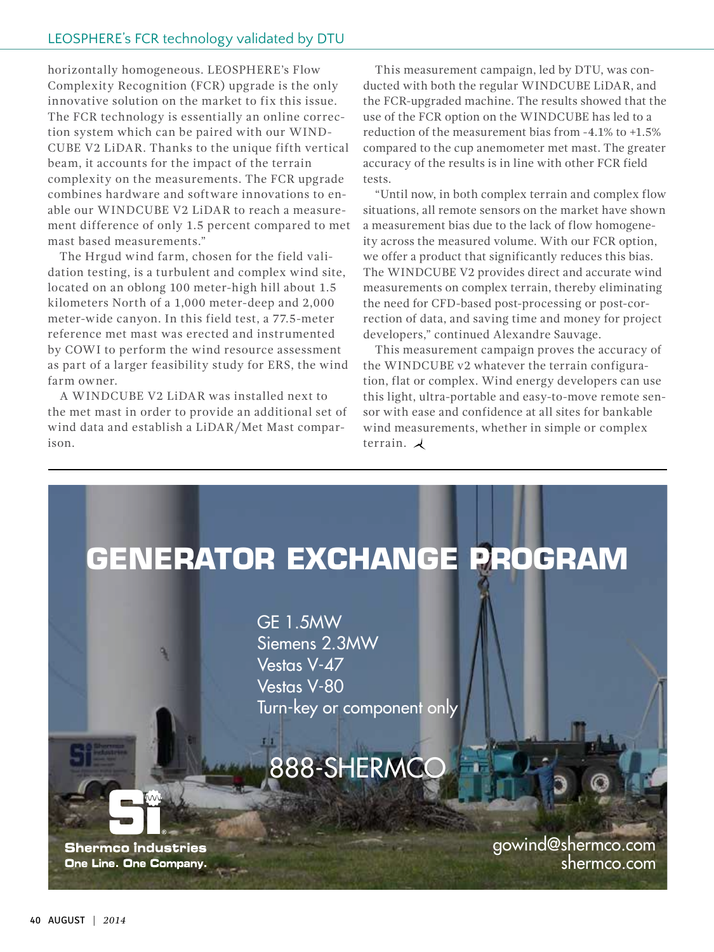horizontally homogeneous. LEOSPHERE's Flow Complexity Recognition (FCR) upgrade is the only innovative solution on the market to fix this issue. The FCR technology is essentially an online correction system which can be paired with our WIND-CUBE V2 LiDAR. Thanks to the unique fifth vertical beam, it accounts for the impact of the terrain complexity on the measurements. The FCR upgrade combines hardware and software innovations to enable our WINDCUBE V2 LiDAR to reach a measurement difference of only 1.5 percent compared to met mast based measurements."

The Hrgud wind farm, chosen for the field validation testing, is a turbulent and complex wind site, located on an oblong 100 meter-high hill about 1.5 kilometers North of a 1,000 meter-deep and 2,000 meter-wide canyon. In this field test, a 77.5-meter reference met mast was erected and instrumented by COWI to perform the wind resource assessment as part of a larger feasibility study for ERS, the wind farm owner.

A WINDCUBE V2 LiDAR was installed next to the met mast in order to provide an additional set of wind data and establish a LiDAR/Met Mast comparison.

This measurement campaign, led by DTU, was conducted with both the regular WINDCUBE LiDAR, and the FCR-upgraded machine. The results showed that the use of the FCR option on the WINDCUBE has led to a reduction of the measurement bias from -4.1% to +1.5% compared to the cup anemometer met mast. The greater accuracy of the results is in line with other FCR field tests.

"Until now, in both complex terrain and complex flow situations, all remote sensors on the market have shown a measurement bias due to the lack of flow homogeneity across the measured volume. With our FCR option, we offer a product that significantly reduces this bias. The WINDCUBE V2 provides direct and accurate wind measurements on complex terrain, thereby eliminating the need for CFD-based post-processing or post-correction of data, and saving time and money for project developers," continued Alexandre Sauvage.

This measurement campaign proves the accuracy of the WINDCUBE v2 whatever the terrain configuration, flat or complex. Wind energy developers can use this light, ultra-portable and easy-to-move remote sensor with ease and confidence at all sites for bankable wind measurements, whether in simple or complex terrain.  $\lambda$